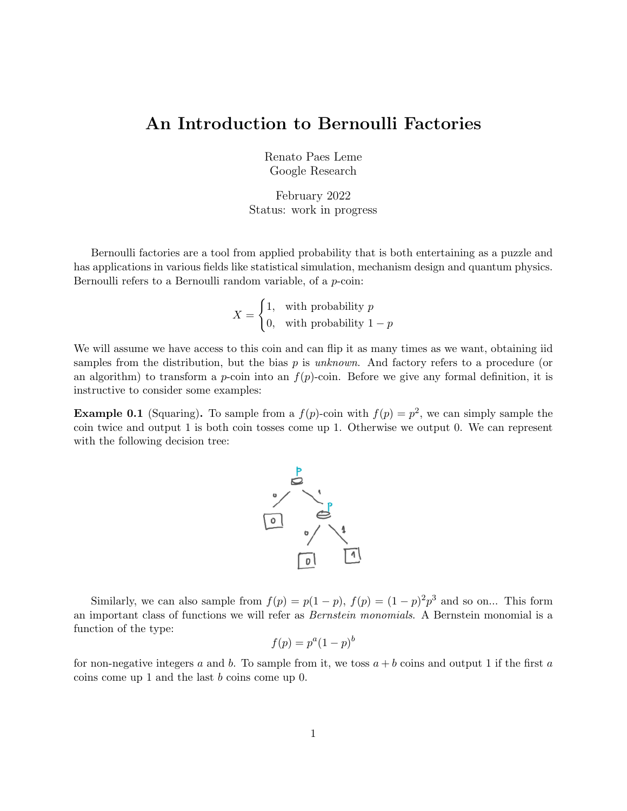# An Introduction to Bernoulli Factories

Renato Paes Leme Google Research

February 2022 Status: work in progress

Bernoulli factories are a tool from applied probability that is both entertaining as a puzzle and has applications in various fields like statistical simulation, mechanism design and quantum physics. Bernoulli refers to a Bernoulli random variable, of a *p*-coin:

$$
X = \begin{cases} 1, & \text{with probability } p \\ 0, & \text{with probability } 1 - p \end{cases}
$$

We will assume we have access to this coin and can flip it as many times as we want, obtaining iid samples from the distribution, but the bias  $p$  is unknown. And factory refers to a procedure (or an algorithm) to transform a *p*-coin into an  $f(p)$ -coin. Before we give any formal definition, it is instructive to consider some examples:

**Example 0.1** (Squaring). To sample from a  $f(p)$ -coin with  $f(p) = p^2$ , we can simply sample the coin twice and output 1 is both coin tosses come up 1. Otherwise we output 0. We can represent with the following decision tree:



Similarly, we can also sample from  $f(p) = p(1-p)$ ,  $f(p) = (1-p)^2p^3$  and so on... This form an important class of functions we will refer as Bernstein monomials. A Bernstein monomial is a function of the type:

$$
f(p) = p^a (1 - p)^b
$$

<span id="page-0-0"></span>for non-negative integers a and b. To sample from it, we toss  $a + b$  coins and output 1 if the first a coins come up 1 and the last b coins come up 0.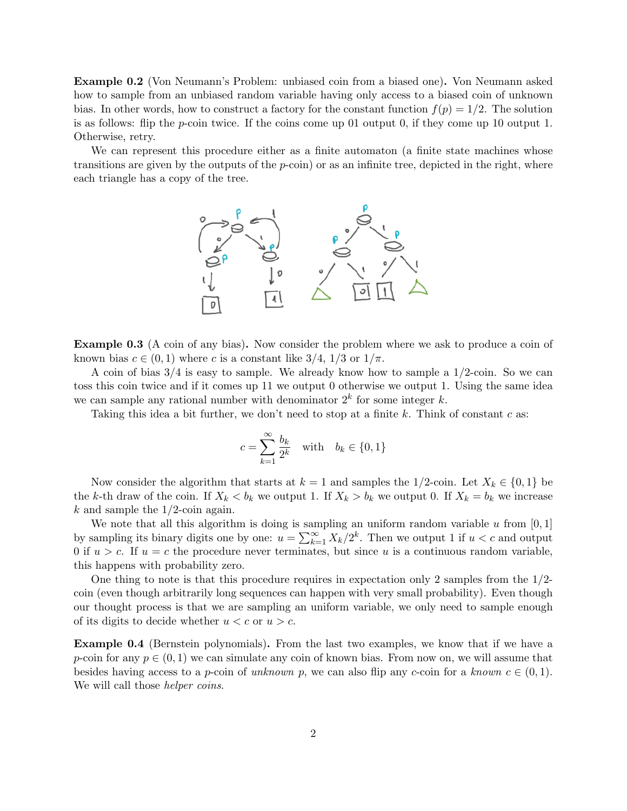Example 0.2 (Von Neumann's Problem: unbiased coin from a biased one). Von Neumann asked how to sample from an unbiased random variable having only access to a biased coin of unknown bias. In other words, how to construct a factory for the constant function  $f(p) = 1/2$ . The solution is as follows: flip the  $p$ -coin twice. If the coins come up 01 output 0, if they come up 10 output 1. Otherwise, retry.

We can represent this procedure either as a finite automaton (a finite state machines whose transitions are given by the outputs of the  $p\text{-coin}$  or as an infinite tree, depicted in the right, where each triangle has a copy of the tree.



Example 0.3 (A coin of any bias). Now consider the problem where we ask to produce a coin of known bias  $c \in (0,1)$  where c is a constant like  $3/4$ ,  $1/3$  or  $1/\pi$ .

A coin of bias  $3/4$  is easy to sample. We already know how to sample a  $1/2$ -coin. So we can toss this coin twice and if it comes up 11 we output 0 otherwise we output 1. Using the same idea we can sample any rational number with denominator  $2^k$  for some integer k.

Taking this idea a bit further, we don't need to stop at a finite k. Think of constant c as:

$$
c = \sum_{k=1}^{\infty} \frac{b_k}{2^k} \quad \text{with} \quad b_k \in \{0, 1\}
$$

Now consider the algorithm that starts at  $k = 1$  and samples the 1/2-coin. Let  $X_k \in \{0, 1\}$  be the k-th draw of the coin. If  $X_k < b_k$  we output 1. If  $X_k > b_k$  we output 0. If  $X_k = b_k$  we increase k and sample the  $1/2$ -coin again.

We note that all this algorithm is doing is sampling an uniform random variable u from  $[0, 1]$ by sampling its binary digits one by one:  $u = \sum_{k=1}^{\infty} X_k/2^k$ . Then we output 1 if  $u < c$  and output 0 if  $u > c$ . If  $u = c$  the procedure never terminates, but since u is a continuous random variable, this happens with probability zero.

One thing to note is that this procedure requires in expectation only 2 samples from the  $1/2$ coin (even though arbitrarily long sequences can happen with very small probability). Even though our thought process is that we are sampling an uniform variable, we only need to sample enough of its digits to decide whether  $u < c$  or  $u > c$ .

<span id="page-1-0"></span>Example 0.4 (Bernstein polynomials). From the last two examples, we know that if we have a p-coin for any  $p \in (0, 1)$  we can simulate any coin of known bias. From now on, we will assume that besides having access to a *p*-coin of unknown p, we can also flip any c-coin for a known  $c \in (0,1)$ . We will call those *helper coins*.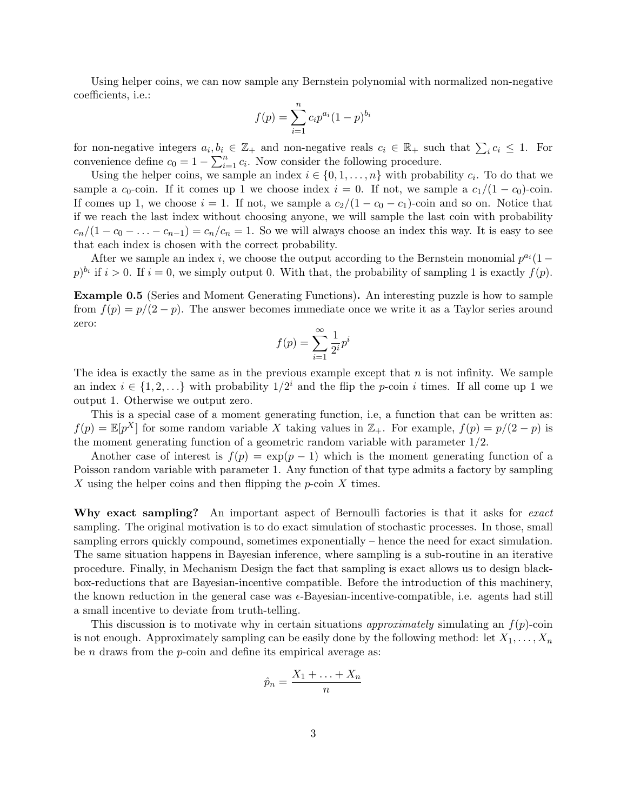Using helper coins, we can now sample any Bernstein polynomial with normalized non-negative coefficients, i.e.:

$$
f(p) = \sum_{i=1}^{n} c_i p^{a_i} (1-p)^{b_i}
$$

for non-negative integers  $a_i, b_i \in \mathbb{Z}_+$  and non-negative reals  $c_i \in \mathbb{R}_+$  such that  $\sum_i c_i \leq 1$ . For convenience define  $c_0 = 1 - \sum_{i=1}^n c_i$ . Now consider the following procedure.

Using the helper coins, we sample an index  $i \in \{0, 1, \ldots, n\}$  with probability  $c_i$ . To do that we sample a  $c_0$ -coin. If it comes up 1 we choose index  $i = 0$ . If not, we sample a  $c_1/(1 - c_0)$ -coin. If comes up 1, we choose  $i = 1$ . If not, we sample a  $c_2/(1 - c_0 - c_1)$ -coin and so on. Notice that if we reach the last index without choosing anyone, we will sample the last coin with probability  $c_n/(1-c_0-\ldots-c_{n-1})=c_n/c_n=1$ . So we will always choose an index this way. It is easy to see that each index is chosen with the correct probability.

After we sample an index i, we choose the output according to the Bernstein monomial  $p^{a_i}(1$  $p)^{b_i}$  if  $i > 0$ . If  $i = 0$ , we simply output 0. With that, the probability of sampling 1 is exactly  $f(p)$ .

Example 0.5 (Series and Moment Generating Functions). An interesting puzzle is how to sample from  $f(p) = p/(2 - p)$ . The answer becomes immediate once we write it as a Taylor series around zero:

$$
f(p) = \sum_{i=1}^{\infty} \frac{1}{2^i} p^i
$$

The idea is exactly the same as in the previous example except that  $n$  is not infinity. We sample an index  $i \in \{1, 2, ...\}$  with probability  $1/2^i$  and the flip the p-coin i times. If all come up 1 we output 1. Otherwise we output zero.

This is a special case of a moment generating function, i.e, a function that can be written as:  $f(p) = \mathbb{E}[p^X]$  for some random variable X taking values in  $\mathbb{Z}_+$ . For example,  $f(p) = p/(2 - p)$  is the moment generating function of a geometric random variable with parameter  $1/2$ .

Another case of interest is  $f(p) = \exp(p-1)$  which is the moment generating function of a Poisson random variable with parameter 1. Any function of that type admits a factory by sampling X using the helper coins and then flipping the  $p$ -coin X times.

Why exact sampling? An important aspect of Bernoulli factories is that it asks for exact sampling. The original motivation is to do exact simulation of stochastic processes. In those, small sampling errors quickly compound, sometimes exponentially – hence the need for exact simulation. The same situation happens in Bayesian inference, where sampling is a sub-routine in an iterative procedure. Finally, in Mechanism Design the fact that sampling is exact allows us to design blackbox-reductions that are Bayesian-incentive compatible. Before the introduction of this machinery, the known reduction in the general case was  $\epsilon$ -Bayesian-incentive-compatible, i.e. agents had still a small incentive to deviate from truth-telling.

This discussion is to motivate why in certain situations *approximately* simulating an  $f(p)$ -coin is not enough. Approximately sampling can be easily done by the following method: let  $X_1, \ldots, X_n$ be  $n$  draws from the  $p$ -coin and define its empirical average as:

$$
\hat{p}_n = \frac{X_1 + \ldots + X_n}{n}
$$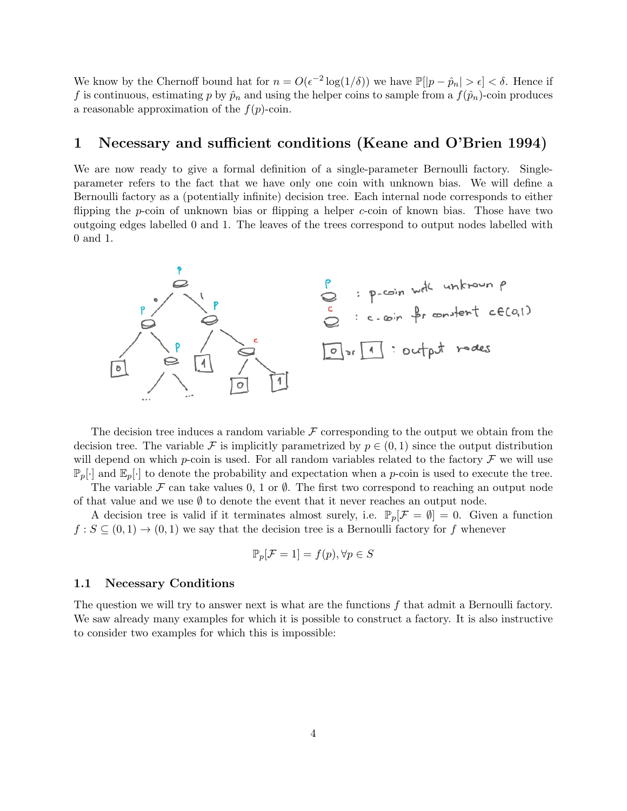We know by the Chernoff bound hat for  $n = O(\epsilon^{-2} \log(1/\delta))$  we have  $\mathbb{P}[|p - \hat{p}_n| > \epsilon] < \delta$ . Hence if f is continuous, estimating p by  $\hat{p}_n$  and using the helper coins to sample from a  $f(\hat{p}_n)$ -coin produces a reasonable approximation of the  $f(p)$ -coin.

## 1 Necessary and sufficient conditions (Keane and O'Brien 1994)

We are now ready to give a formal definition of a single-parameter Bernoulli factory. Singleparameter refers to the fact that we have only one coin with unknown bias. We will define a Bernoulli factory as a (potentially infinite) decision tree. Each internal node corresponds to either flipping the *p*-coin of unknown bias or flipping a helper *c*-coin of known bias. Those have two outgoing edges labelled 0 and 1. The leaves of the trees correspond to output nodes labelled with 0 and 1.



The decision tree induces a random variable  $\mathcal F$  corresponding to the output we obtain from the decision tree. The variable F is implicitly parametrized by  $p \in (0,1)$  since the output distribution will depend on which p-coin is used. For all random variables related to the factory  $\mathcal F$  we will use  $\mathbb{P}_p[\cdot]$  and  $\mathbb{E}_p[\cdot]$  to denote the probability and expectation when a p-coin is used to execute the tree.

The variable F can take values 0, 1 or  $\emptyset$ . The first two correspond to reaching an output node of that value and we use  $\emptyset$  to denote the event that it never reaches an output node.

A decision tree is valid if it terminates almost surely, i.e.  $\mathbb{P}_p[\mathcal{F} = \emptyset] = 0$ . Given a function  $f : S \subseteq (0,1) \to (0,1)$  we say that the decision tree is a Bernoulli factory for f whenever

$$
\mathbb{P}_p[\mathcal{F} = 1] = f(p), \forall p \in S
$$

#### 1.1 Necessary Conditions

The question we will try to answer next is what are the functions  $f$  that admit a Bernoulli factory. We saw already many examples for which it is possible to construct a factory. It is also instructive to consider two examples for which this is impossible: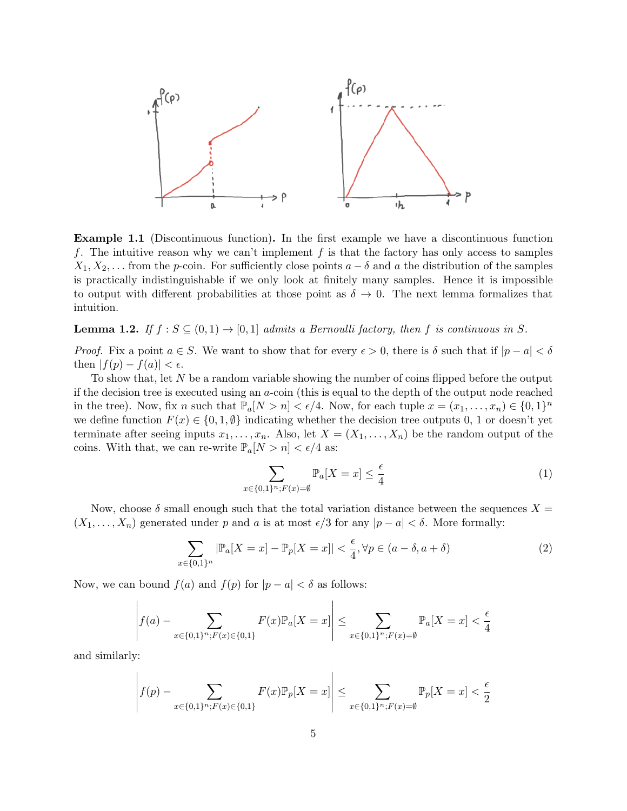

Example 1.1 (Discontinuous function). In the first example we have a discontinuous function f. The intuitive reason why we can't implement  $f$  is that the factory has only access to samples  $X_1, X_2, \ldots$  from the p-coin. For sufficiently close points  $a - \delta$  and a the distribution of the samples is practically indistinguishable if we only look at finitely many samples. Hence it is impossible to output with different probabilities at those point as  $\delta \to 0$ . The next lemma formalizes that intuition.

**Lemma 1.2.** If  $f : S \subseteq (0,1) \rightarrow [0,1]$  admits a Bernoulli factory, then f is continuous in S.

*Proof.* Fix a point  $a \in S$ . We want to show that for every  $\epsilon > 0$ , there is  $\delta$  such that if  $|p - a| < \delta$ then  $|f(p) - f(a)| < \epsilon$ .

To show that, let N be a random variable showing the number of coins flipped before the output if the decision tree is executed using an a-coin (this is equal to the depth of the output node reached in the tree). Now, fix n such that  $\mathbb{P}_a[N>n]<\epsilon/4$ . Now, for each tuple  $x=(x_1,\ldots,x_n)\in\{0,1\}^n$ we define function  $F(x) \in \{0, 1, \emptyset\}$  indicating whether the decision tree outputs 0, 1 or doesn't yet terminate after seeing inputs  $x_1, \ldots, x_n$ . Also, let  $X = (X_1, \ldots, X_n)$  be the random output of the coins. With that, we can re-write  $\mathbb{P}_a[N > n] < \epsilon/4$  as:

<span id="page-4-0"></span>
$$
\sum_{x \in \{0,1\}^n; F(x) = \emptyset} \mathbb{P}_a[X = x] \le \frac{\epsilon}{4}
$$
 (1)

Now, choose  $\delta$  small enough such that the total variation distance between the sequences  $X =$  $(X_1, \ldots, X_n)$  generated under p and a is at most  $\epsilon/3$  for any  $|p - a| < \delta$ . More formally:

<span id="page-4-1"></span>
$$
\sum_{x \in \{0,1\}^n} |\mathbb{P}_a[X=x] - \mathbb{P}_p[X=x]| < \frac{\epsilon}{4}, \forall p \in (a-\delta, a+\delta) \tag{2}
$$

Now, we can bound  $f(a)$  and  $f(p)$  for  $|p - a| < \delta$  as follows:

$$
\left| f(a) - \sum_{x \in \{0,1\}^n; F(x) \in \{0,1\}} F(x) \mathbb{P}_a[X=x] \right| \le \sum_{x \in \{0,1\}^n; F(x) = \emptyset} \mathbb{P}_a[X=x] < \frac{\epsilon}{4}
$$

and similarly:

$$
\left| f(p) - \sum_{x \in \{0,1\}^n; F(x) \in \{0,1\}} F(x) \mathbb{P}_p[X=x] \right| \le \sum_{x \in \{0,1\}^n; F(x) = \emptyset} \mathbb{P}_p[X=x] < \frac{\epsilon}{2}
$$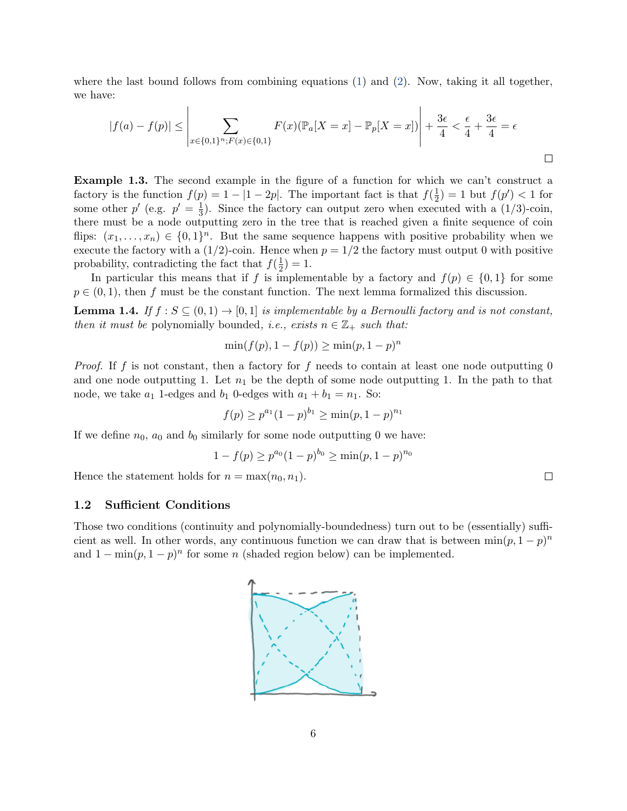where the last bound follows from combining equations [\(1\)](#page-4-0) and [\(2\)](#page-4-1). Now, taking it all together, we have:

$$
|f(a)-f(p)| \le \left|\sum_{x \in \{0,1\}^n; F(x) \in \{0,1\}} F(x)(\mathbb{P}_a[X=x] - \mathbb{P}_p[X=x])\right| + \frac{3\epsilon}{4} < \frac{\epsilon}{4} + \frac{3\epsilon}{4} = \epsilon
$$

Example 1.3. The second example in the figure of a function for which we can't construct a factory is the function  $f(p) = 1 - |1 - 2p|$ . The important fact is that  $f(\frac{1}{2})$  $(\frac{1}{2}) = 1$  but  $f(p') < 1$  for some other  $p'$  (e.g.  $p' = \frac{1}{3}$ )  $\frac{1}{3}$ ). Since the factory can output zero when executed with a  $(1/3)$ -coin, there must be a node outputting zero in the tree that is reached given a finite sequence of coin flips:  $(x_1, \ldots, x_n) \in \{0,1\}^n$ . But the same sequence happens with positive probability when we execute the factory with a  $(1/2)$ -coin. Hence when  $p = 1/2$  the factory must output 0 with positive probability, contradicting the fact that  $f(\frac{1}{2})$  $(\frac{1}{2}) = 1.$ 

In particular this means that if f is implementable by a factory and  $f(p) \in \{0,1\}$  for some  $p \in (0, 1)$ , then f must be the constant function. The next lemma formalized this discussion.

**Lemma 1.4.** If  $f : S \subseteq (0, 1) \rightarrow [0, 1]$  is implementable by a Bernoulli factory and is not constant, then it must be polynomially bounded, i.e., exists  $n \in \mathbb{Z}_+$  such that:

$$
\min(f(p), 1 - f(p)) \ge \min(p, 1 - p)^n
$$

*Proof.* If f is not constant, then a factory for f needs to contain at least one node outputting  $0$ and one node outputting 1. Let  $n_1$  be the depth of some node outputting 1. In the path to that node, we take  $a_1$  1-edges and  $b_1$  0-edges with  $a_1 + b_1 = n_1$ . So:

$$
f(p) \ge p^{a_1} (1-p)^{b_1} \ge \min(p, 1-p)^{n_1}
$$

If we define  $n_0$ ,  $a_0$  and  $b_0$  similarly for some node outputting 0 we have:

$$
1 - f(p) \ge p^{a_0} (1 - p)^{b_0} \ge \min(p, 1 - p)^{n_0}
$$

Hence the statement holds for  $n = \max(n_0, n_1)$ .

### 1.2 Sufficient Conditions

Those two conditions (continuity and polynomially-boundedness) turn out to be (essentially) sufficient as well. In other words, any continuous function we can draw that is between  $\min(p, 1-p)^n$ and  $1 - \min(p, 1 - p)^n$  for some n (shaded region below) can be implemented.



 $\Box$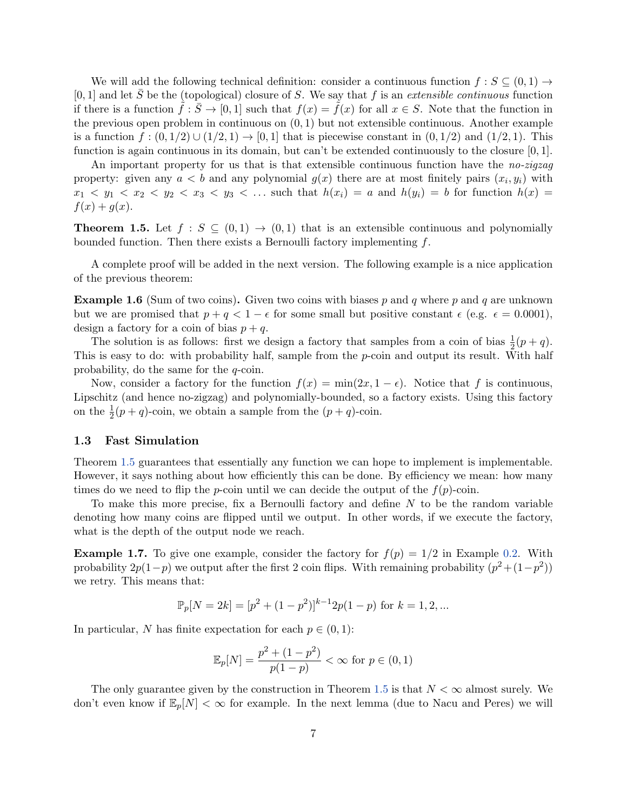We will add the following technical definition: consider a continuous function  $f : S \subseteq (0,1) \rightarrow$  $[0, 1]$  and let  $\overline{S}$  be the (topological) closure of S. We say that f is an *extensible continuous* function if there is a function  $\tilde{f} : \bar{S} \to [0,1]$  such that  $f(x) = \tilde{f}(x)$  for all  $x \in S$ . Note that the function in the previous open problem in continuous on  $(0, 1)$  but not extensible continuous. Another example is a function  $f:(0,1/2)\cup(1/2,1)\rightarrow[0,1]$  that is piecewise constant in  $(0,1/2)$  and  $(1/2,1)$ . This function is again continuous in its domain, but can't be extended continuously to the closure  $[0, 1]$ .

An important property for us that is that extensible continuous function have the *no-zigzag* property: given any  $a < b$  and any polynomial  $g(x)$  there are at most finitely pairs  $(x_i, y_i)$  with  $x_1 \lt y_1 \lt x_2 \lt y_2 \lt x_3 \lt y_3 \lt \ldots$  such that  $h(x_i) = a$  and  $h(y_i) = b$  for function  $h(x) = b$  $f(x) + g(x)$ .

<span id="page-6-0"></span>**Theorem 1.5.** Let  $f : S \subseteq (0,1) \rightarrow (0,1)$  that is an extensible continuous and polynomially bounded function. Then there exists a Bernoulli factory implementing  $f$ .

A complete proof will be added in the next version. The following example is a nice application of the previous theorem:

**Example 1.6** (Sum of two coins). Given two coins with biases p and q where p and q are unknown but we are promised that  $p + q < 1 - \epsilon$  for some small but positive constant  $\epsilon$  (e.g.  $\epsilon = 0.0001$ ), design a factory for a coin of bias  $p + q$ .

The solution is as follows: first we design a factory that samples from a coin of bias  $\frac{1}{2}(p+q)$ . This is easy to do: with probability half, sample from the  $p$ -coin and output its result. With half probability, do the same for the q-coin.

Now, consider a factory for the function  $f(x) = \min(2x, 1 - \epsilon)$ . Notice that f is continuous, Lipschitz (and hence no-zigzag) and polynomially-bounded, so a factory exists. Using this factory on the  $\frac{1}{2}(p+q)$ -coin, we obtain a sample from the  $(p+q)$ -coin.

#### 1.3 Fast Simulation

Theorem [1.5](#page-6-0) guarantees that essentially any function we can hope to implement is implementable. However, it says nothing about how efficiently this can be done. By efficiency we mean: how many times do we need to flip the p-coin until we can decide the output of the  $f(p)$ -coin.

To make this more precise, fix a Bernoulli factory and define  $N$  to be the random variable denoting how many coins are flipped until we output. In other words, if we execute the factory, what is the depth of the output node we reach.

**Example 1.7.** To give one example, consider the factory for  $f(p) = 1/2$  in Example [0.2.](#page-0-0) With probability  $2p(1-p)$  we output after the first 2 coin flips. With remaining probability  $(p^2 + (1-p^2))$ we retry. This means that:

$$
\mathbb{P}_p[N=2k] = [p^2 + (1-p^2)]^{k-1} 2p(1-p)
$$
 for  $k = 1, 2, ...$ 

In particular, N has finite expectation for each  $p \in (0,1)$ :

$$
\mathbb{E}_p[N] = \frac{p^2 + (1 - p^2)}{p(1 - p)} < \infty \text{ for } p \in (0, 1)
$$

The only guarantee given by the construction in Theorem [1.5](#page-6-0) is that  $N < \infty$  almost surely. We don't even know if  $\mathbb{E}_p[N] < \infty$  for example. In the next lemma (due to Nacu and Peres) we will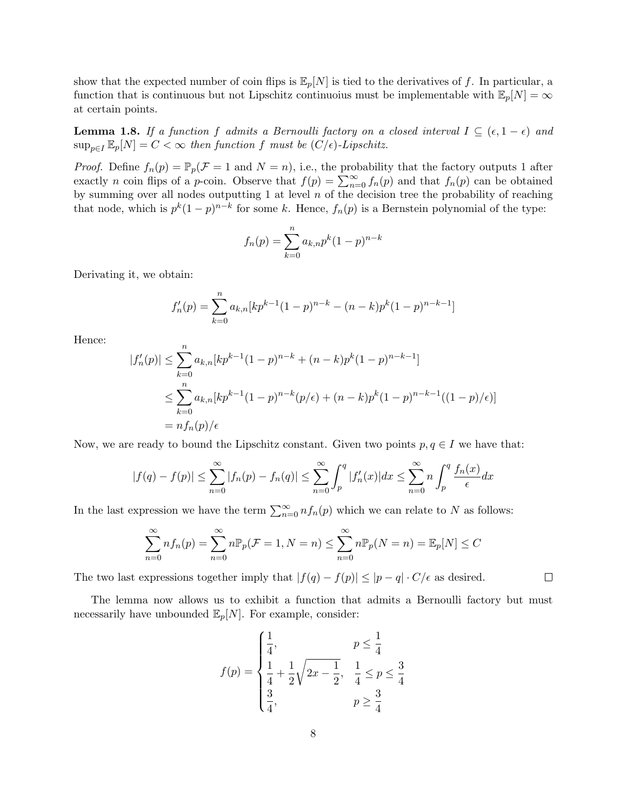show that the expected number of coin flips is  $\mathbb{E}_p[N]$  is tied to the derivatives of f. In particular, a function that is continuous but not Lipschitz continuous must be implementable with  $\mathbb{E}_p[N] = \infty$ at certain points.

**Lemma 1.8.** If a function f admits a Bernoulli factory on a closed interval  $I \subseteq (\epsilon, 1 - \epsilon)$  and  $\sup_{p\in I} \mathbb{E}_p[N] = C < \infty$  then function f must be  $(C/\epsilon)$ -Lipschitz.

*Proof.* Define  $f_n(p) = \mathbb{P}_p(\mathcal{F} = 1 \text{ and } N = n)$ , i.e., the probability that the factory outputs 1 after exactly *n* coin flips of a *p*-coin. Observe that  $f(p) = \sum_{n=0}^{\infty} f_n(p)$  and that  $f_n(p)$  can be obtained by summing over all nodes outputting 1 at level  $n$  of the decision tree the probability of reaching that node, which is  $p^k(1-p)^{n-k}$  for some k. Hence,  $f_n(p)$  is a Bernstein polynomial of the type:

$$
f_n(p) = \sum_{k=0}^{n} a_{k,n} p^k (1-p)^{n-k}
$$

Derivating it, we obtain:

$$
f'_n(p) = \sum_{k=0}^n a_{k,n} [kp^{k-1}(1-p)^{n-k} - (n-k)p^k(1-p)^{n-k-1}]
$$

Hence:

$$
|f'_n(p)| \le \sum_{k=0}^n a_{k,n} [kp^{k-1}(1-p)^{n-k} + (n-k)p^k(1-p)^{n-k-1}]
$$
  

$$
\le \sum_{k=0}^n a_{k,n} [kp^{k-1}(1-p)^{n-k}(p/\epsilon) + (n-k)p^k(1-p)^{n-k-1}((1-p)/\epsilon)]
$$
  

$$
= nf_n(p)/\epsilon
$$

Now, we are ready to bound the Lipschitz constant. Given two points  $p, q \in I$  we have that:

$$
|f(q) - f(p)| \le \sum_{n=0}^{\infty} |f_n(p) - f_n(q)| \le \sum_{n=0}^{\infty} \int_p^q |f'_n(x)| dx \le \sum_{n=0}^{\infty} n \int_p^q \frac{f_n(x)}{\epsilon} dx
$$

In the last expression we have the term  $\sum_{n=0}^{\infty} n f_n(p)$  which we can relate to N as follows:

$$
\sum_{n=0}^{\infty} n f_n(p) = \sum_{n=0}^{\infty} n \mathbb{P}_p(\mathcal{F} = 1, N = n) \le \sum_{n=0}^{\infty} n \mathbb{P}_p(N = n) = \mathbb{E}_p[N] \le C
$$

 $\Box$ 

The two last expressions together imply that  $|f(q) - f(p)| \leq |p - q| \cdot C/\epsilon$  as desired.

The lemma now allows us to exhibit a function that admits a Bernoulli factory but must necessarily have unbounded  $\mathbb{E}_p[N]$ . For example, consider:

$$
f(p) = \begin{cases} \frac{1}{4}, & p \leq \frac{1}{4} \\ \frac{1}{4} + \frac{1}{2}\sqrt{2x - \frac{1}{2}}, & \frac{1}{4} \leq p \leq \frac{3}{4} \\ \frac{3}{4}, & p \geq \frac{3}{4} \end{cases}
$$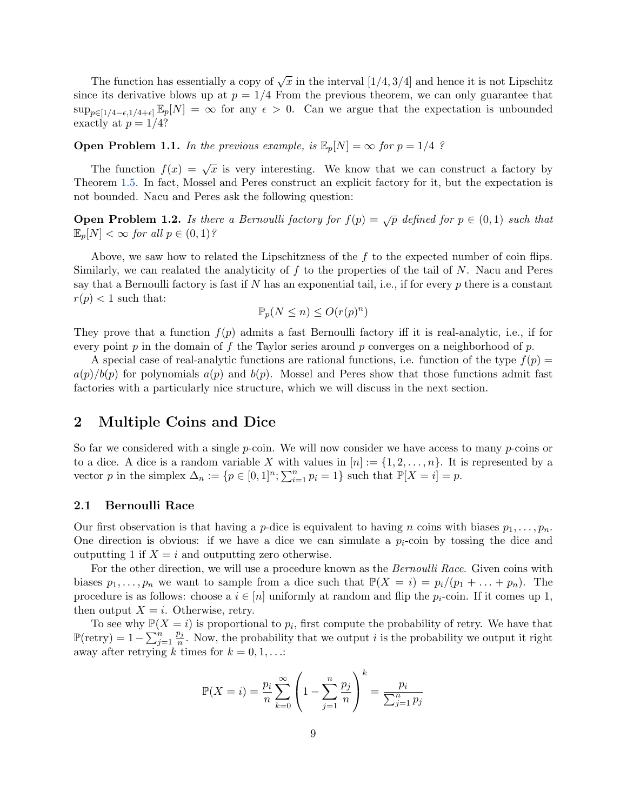The function has essentially a copy of  $\sqrt{x}$  in the interval  $[1/4, 3/4]$  and hence it is not Lipschitz since its derivative blows up at  $p = 1/4$  From the previous theorem, we can only guarantee that  $\sup_{p\in[1/4-\epsilon,1/4+\epsilon]} \mathbb{E}_p[N] = \infty$  for any  $\epsilon > 0$ . Can we argue that the expectation is unbounded exactly at  $p = 1/4$ ?

## **Open Problem 1.1.** In the previous example, is  $\mathbb{E}_p[N] = \infty$  for  $p = 1/4$  ?

The function  $f(x) = \sqrt{x}$  is very interesting. We know that we can construct a factory by Theorem [1.5.](#page-6-0) In fact, Mossel and Peres construct an explicit factory for it, but the expectation is not bounded. Nacu and Peres ask the following question:

**Open Problem 1.2.** Is there a Bernoulli factory for  $f(p) = \sqrt{p}$  defined for  $p \in (0,1)$  such that  $\mathbb{E}_p[N] < \infty$  for all  $p \in (0,1)$ ?

Above, we saw how to related the Lipschitzness of the  $f$  to the expected number of coin flips. Similarly, we can realated the analyticity of  $f$  to the properties of the tail of  $N$ . Nacu and Peres say that a Bernoulli factory is fast if  $N$  has an exponential tail, i.e., if for every  $p$  there is a constant  $r(p) < 1$  such that:

$$
\mathbb{P}_p(N \le n) \le O(r(p)^n)
$$

They prove that a function  $f(p)$  admits a fast Bernoulli factory iff it is real-analytic, i.e., if for every point p in the domain of f the Taylor series around p converges on a neighborhood of p.

A special case of real-analytic functions are rational functions, i.e. function of the type  $f(p)$  $a(p)/b(p)$  for polynomials  $a(p)$  and  $b(p)$ . Mossel and Peres show that those functions admit fast factories with a particularly nice structure, which we will discuss in the next section.

## 2 Multiple Coins and Dice

So far we considered with a single  $p$ -coin. We will now consider we have access to many  $p$ -coins or to a dice. A dice is a random variable X with values in  $[n] := \{1, 2, \ldots, n\}$ . It is represented by a vector p in the simplex  $\Delta_n := \{p \in [0,1]^n; \sum_{i=1}^n p_i = 1\}$  such that  $\mathbb{P}[X = i] = p$ .

### 2.1 Bernoulli Race

Our first observation is that having a *p*-dice is equivalent to having *n* coins with biases  $p_1, \ldots, p_n$ . One direction is obvious: if we have a dice we can simulate a  $p_i$ -coin by tossing the dice and outputting 1 if  $X = i$  and outputting zero otherwise.

For the other direction, we will use a procedure known as the *Bernoulli Race*. Given coins with biases  $p_1, \ldots, p_n$  we want to sample from a dice such that  $\mathbb{P}(X = i) = p_i/(p_1 + \ldots + p_n)$ . The procedure is as follows: choose a  $i \in [n]$  uniformly at random and flip the  $p_i$ -coin. If it comes up 1, then output  $X = i$ . Otherwise, retry.

To see why  $\mathbb{P}(X = i)$  is proportional to  $p_i$ , first compute the probability of retry. We have that  $\mathbb{P}(\text{retry}) = 1 - \sum_{j=1}^{n}$  $p_j$  $\frac{p_j}{n}$ . Now, the probability that we output *i* is the probability we output it right away after retrying k times for  $k = 0, 1, \ldots$ :

$$
\mathbb{P}(X = i) = \frac{p_i}{n} \sum_{k=0}^{\infty} \left( 1 - \sum_{j=1}^{n} \frac{p_j}{n} \right)^k = \frac{p_i}{\sum_{j=1}^{n} p_j}
$$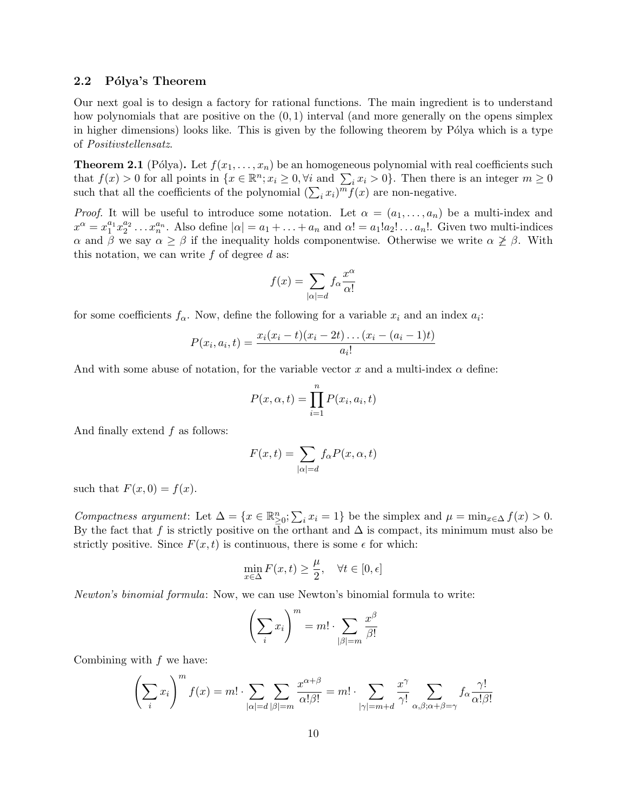## 2.2 Pólya's Theorem

Our next goal is to design a factory for rational functions. The main ingredient is to understand how polynomials that are positive on the  $(0, 1)$  interval (and more generally on the opens simplex in higher dimensions) looks like. This is given by the following theorem by Pólya which is a type of Positivstellensatz.

<span id="page-9-0"></span>**Theorem 2.1** (Pólya). Let  $f(x_1, \ldots, x_n)$  be an homogeneous polynomial with real coefficients such that  $f(x) > 0$  for all points in  $\{x \in \mathbb{R}^n : x_i \ge 0, \forall i \text{ and } \sum_i x_i > 0\}$ . Then there is an integer  $m \ge 0$ such that all the coefficients of the polynomial  $(\sum_i x_i)^m f(x)$  are non-negative.

*Proof.* It will be useful to introduce some notation. Let  $\alpha = (a_1, \ldots, a_n)$  be a multi-index and  $x^{\alpha} = x_1^{a_1} x_2^{a_2} \dots x_n^{a_n}$ . Also define  $|\alpha| = a_1 + \dots + a_n$  and  $\alpha! = a_1! a_2! \dots a_n!$ . Given two multi-indices α and β we say  $\alpha \geq \beta$  if the inequality holds componentwise. Otherwise we write  $\alpha \not\geq \beta$ . With this notation, we can write  $f$  of degree  $d$  as:

$$
f(x) = \sum_{|\alpha| = d} f_{\alpha} \frac{x^{\alpha}}{\alpha!}
$$

for some coefficients  $f_{\alpha}$ . Now, define the following for a variable  $x_i$  and an index  $a_i$ :

$$
P(x_i, a_i, t) = \frac{x_i(x_i - t)(x_i - 2t)\dots(x_i - (a_i - 1)t)}{a_i!}
$$

And with some abuse of notation, for the variable vector x and a multi-index  $\alpha$  define:

$$
P(x, \alpha, t) = \prod_{i=1}^{n} P(x_i, a_i, t)
$$

And finally extend f as follows:

$$
F(x,t) = \sum_{|\alpha|=d} f_{\alpha} P(x,\alpha,t)
$$

such that  $F(x, 0) = f(x)$ .

Compactness argument: Let  $\Delta = \{x \in \mathbb{R}^n_{\geq 0}; \sum_i x_i = 1\}$  be the simplex and  $\mu = \min_{x \in \Delta} f(x) > 0$ . By the fact that f is strictly positive on the orthant and  $\Delta$  is compact, its minimum must also be strictly positive. Since  $F(x, t)$  is continuous, there is some  $\epsilon$  for which:

$$
\min_{x \in \Delta} F(x, t) \ge \frac{\mu}{2}, \quad \forall t \in [0, \epsilon]
$$

Newton's binomial formula: Now, we can use Newton's binomial formula to write:

$$
\left(\sum_i x_i\right)^m = m! \cdot \sum_{|\beta|=m} \frac{x^{\beta}}{\beta!}
$$

Combining with f we have:

$$
\left(\sum_{i} x_{i}\right)^{m} f(x) = m! \cdot \sum_{|\alpha|=d} \sum_{|\beta|=m} \frac{x^{\alpha+\beta}}{\alpha!\beta!} = m! \cdot \sum_{|\gamma|=m+d} \frac{x^{\gamma}}{\gamma!} \sum_{\alpha,\beta;\alpha+\beta=\gamma} f_{\alpha} \frac{\gamma!}{\alpha!\beta!}
$$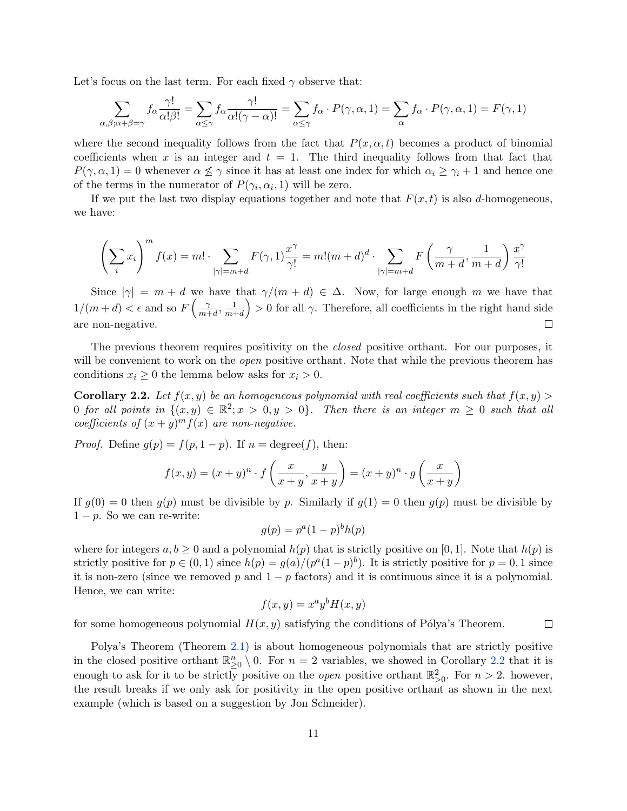Let's focus on the last term. For each fixed  $\gamma$  observe that:

$$
\sum_{\alpha,\beta;\alpha+\beta=\gamma} f_{\alpha} \frac{\gamma!}{\alpha!\beta!} = \sum_{\alpha \le \gamma} f_{\alpha} \frac{\gamma!}{\alpha!(\gamma-\alpha)!} = \sum_{\alpha \le \gamma} f_{\alpha} \cdot P(\gamma,\alpha,1) = \sum_{\alpha} f_{\alpha} \cdot P(\gamma,\alpha,1) = F(\gamma,1)
$$

where the second inequality follows from the fact that  $P(x, \alpha, t)$  becomes a product of binomial coefficients when x is an integer and  $t = 1$ . The third inequality follows from that fact that  $P(\gamma,\alpha,1)=0$  whenever  $\alpha \nleq \gamma$  since it has at least one index for which  $\alpha_i \geq \gamma_i+1$  and hence one of the terms in the numerator of  $P(\gamma_i, \alpha_i, 1)$  will be zero.

If we put the last two display equations together and note that  $F(x, t)$  is also d-homogeneous, we have:

$$
\left(\sum_{i} x_{i}\right)^{m} f(x) = m! \cdot \sum_{|\gamma| = m+d} F(\gamma, 1) \frac{x^{\gamma}}{\gamma!} = m!(m+d)^{d} \cdot \sum_{|\gamma| = m+d} F\left(\frac{\gamma}{m+d}, \frac{1}{m+d}\right) \frac{x^{\gamma}}{\gamma!}
$$

Since  $|\gamma| = m + d$  we have that  $\gamma/(m + d) \in \Delta$ . Now, for large enough m we have that  $1/(m+d) < \epsilon$  and so  $F\left(\frac{\gamma}{m+d}\right)$  $\left(\frac{1}{m+d}\right) > 0$  for all  $\gamma$ . Therefore, all coefficients in the right hand side  $\frac{\gamma}{m+d}$ ,  $\frac{1}{m+1}$ are non-negative.  $\Box$ 

The previous theorem requires positivity on the *closed* positive orthant. For our purposes, it will be convenient to work on the *open* positive orthant. Note that while the previous theorem has conditions  $x_i \geq 0$  the lemma below asks for  $x_i > 0$ .

<span id="page-10-0"></span>**Corollary 2.2.** Let  $f(x, y)$  be an homogeneous polynomial with real coefficients such that  $f(x, y)$ 0 for all points in  $\{(x,y) \in \mathbb{R}^2; x > 0, y > 0\}$ . Then there is an integer  $m \geq 0$  such that all coefficients of  $(x+y)^m f(x)$  are non-negative.

*Proof.* Define  $g(p) = f(p, 1-p)$ . If  $n = \text{degree}(f)$ , then:

$$
f(x,y) = (x+y)^n \cdot f\left(\frac{x}{x+y}, \frac{y}{x+y}\right) = (x+y)^n \cdot g\left(\frac{x}{x+y}\right)
$$

If  $q(0) = 0$  then  $q(p)$  must be divisible by p. Similarly if  $q(1) = 0$  then  $q(p)$  must be divisible by  $1 - p$ . So we can re-write:

$$
g(p) = p^a (1-p)^b h(p)
$$

where for integers  $a, b \ge 0$  and a polynomial  $h(p)$  that is strictly positive on [0, 1]. Note that  $h(p)$  is strictly positive for  $p \in (0,1)$  since  $h(p) = g(a)/(p^a(1-p)^b)$ . It is strictly positive for  $p = 0,1$  since it is non-zero (since we removed p and  $1 - p$  factors) and it is continuous since it is a polynomial. Hence, we can write:

$$
f(x,y) = x^a y^b H(x,y)
$$

for some homogeneous polynomial  $H(x, y)$  satisfying the conditions of Pólya's Theorem.  $\Box$ 

Polya's Theorem (Theorem [2.1\)](#page-9-0) is about homogeneous polynomials that are strictly positive in the closed positive orthant  $\mathbb{R}^n_{\geq 0} \setminus 0$ . For  $n = 2$  variables, we showed in Corollary [2.2](#page-10-0) that it is enough to ask for it to be strictly positive on the *open* positive orthant  $\mathbb{R}^2_{>0}$ . For  $n > 2$ . however, the result breaks if we only ask for positivity in the open positive orthant as shown in the next example (which is based on a suggestion by Jon Schneider).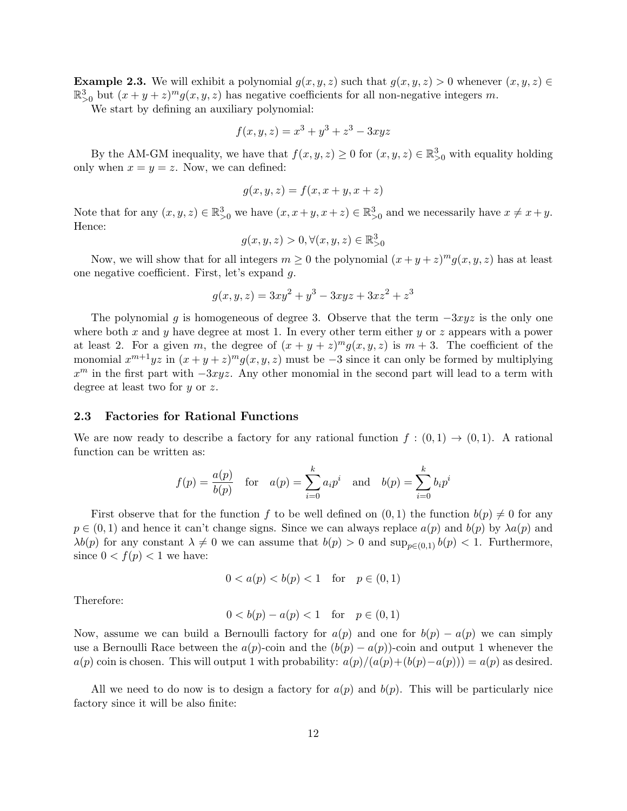**Example 2.3.** We will exhibit a polynomial  $g(x, y, z)$  such that  $g(x, y, z) > 0$  whenever  $(x, y, z) \in$  $\mathbb{R}_{>0}^3$  but  $(x+y+z)^mg(x, y, z)$  has negative coefficients for all non-negative integers m.

We start by defining an auxiliary polynomial:

$$
f(x, y, z) = x^3 + y^3 + z^3 - 3xyz
$$

By the AM-GM inequality, we have that  $f(x, y, z) \ge 0$  for  $(x, y, z) \in \mathbb{R}^3_{>0}$  with equality holding only when  $x = y = z$ . Now, we can defined:

$$
g(x, y, z) = f(x, x + y, x + z)
$$

Note that for any  $(x, y, z) \in \mathbb{R}^3_{>0}$  we have  $(x, x+y, x+z) \in \mathbb{R}^3_{>0}$  and we necessarily have  $x \neq x+y$ . Hence:

$$
g(x, y, z) > 0, \forall (x, y, z) \in \mathbb{R}_{\geq 0}^3
$$

Now, we will show that for all integers  $m \geq 0$  the polynomial  $(x + y + z)^m g(x, y, z)$  has at least one negative coefficient. First, let's expand g.

$$
g(x, y, z) = 3xy^2 + y^3 - 3xyz + 3xz^2 + z^3
$$

The polynomial g is homogeneous of degree 3. Observe that the term  $-3xyz$  is the only one where both x and y have degree at most 1. In every other term either y or z appears with a power at least 2. For a given m, the degree of  $(x + y + z)^m g(x, y, z)$  is  $m + 3$ . The coefficient of the monomial  $x^{m+1}yz$  in  $(x+y+z)^{m}g(x, y, z)$  must be -3 since it can only be formed by multiplying  $x<sup>m</sup>$  in the first part with  $-3xyz$ . Any other monomial in the second part will lead to a term with degree at least two for  $y$  or  $z$ .

## 2.3 Factories for Rational Functions

We are now ready to describe a factory for any rational function  $f:(0,1) \to (0,1)$ . A rational function can be written as:

$$
f(p) = \frac{a(p)}{b(p)}
$$
 for  $a(p) = \sum_{i=0}^{k} a_i p^i$  and  $b(p) = \sum_{i=0}^{k} b_i p^i$ 

First observe that for the function f to be well defined on  $(0, 1)$  the function  $b(p) \neq 0$  for any  $p \in (0,1)$  and hence it can't change signs. Since we can always replace  $a(p)$  and  $b(p)$  by  $\lambda a(p)$  and  $\lambda b(p)$  for any constant  $\lambda \neq 0$  we can assume that  $b(p) > 0$  and  $\sup_{p \in (0,1)} b(p) < 1$ . Furthermore, since  $0 < f(p) < 1$  we have:

$$
0 < a(p) < b(p) < 1 \quad \text{for} \quad p \in (0, 1)
$$

Therefore:

$$
0 < b(p) - a(p) < 1 \quad \text{for} \quad p \in (0, 1)
$$

Now, assume we can build a Bernoulli factory for  $a(p)$  and one for  $b(p) - a(p)$  we can simply use a Bernoulli Race between the  $a(p)$ -coin and the  $(b(p) - a(p))$ -coin and output 1 whenever the  $a(p)$  coin is chosen. This will output 1 with probability:  $a(p)/(a(p)+(b(p)-a(p))) = a(p)$  as desired.

All we need to do now is to design a factory for  $a(p)$  and  $b(p)$ . This will be particularly nice factory since it will be also finite: